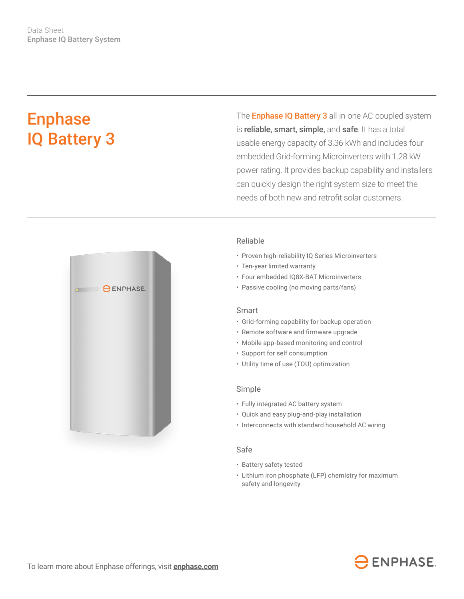# Enphase IQ Battery 3

The **Enphase IQ Battery 3** all-in-one AC-coupled system is reliable, smart, simple, and safe. It has a total usable energy capacity of 3.36 kWh and includes four embedded Grid-forming Microinverters with 1.28 kW power rating. It provides backup capability and installers can quickly design the right system size to meet the needs of both new and retrofit solar customers.



## Reliable

- Proven high-reliability IQ Series Microinverters
- Ten-year limited warranty
- Four embedded IQ8X-BAT Microinverters
- Passive cooling (no moving parts/fans)

## Smart

- Grid-forming capability for backup operation
- • Remote software and firmware upgrade
- Mobile app-based monitoring and control
- Support for self consumption
- Utility time of use (TOU) optimization

#### Simple

- Fully integrated AC battery system
- Quick and easy plug-and-play installation
- Interconnects with standard household AC wiring

### Safe

- Battery safety tested
- Lithium iron phosphate (LFP) chemistry for maximum safety and longevity